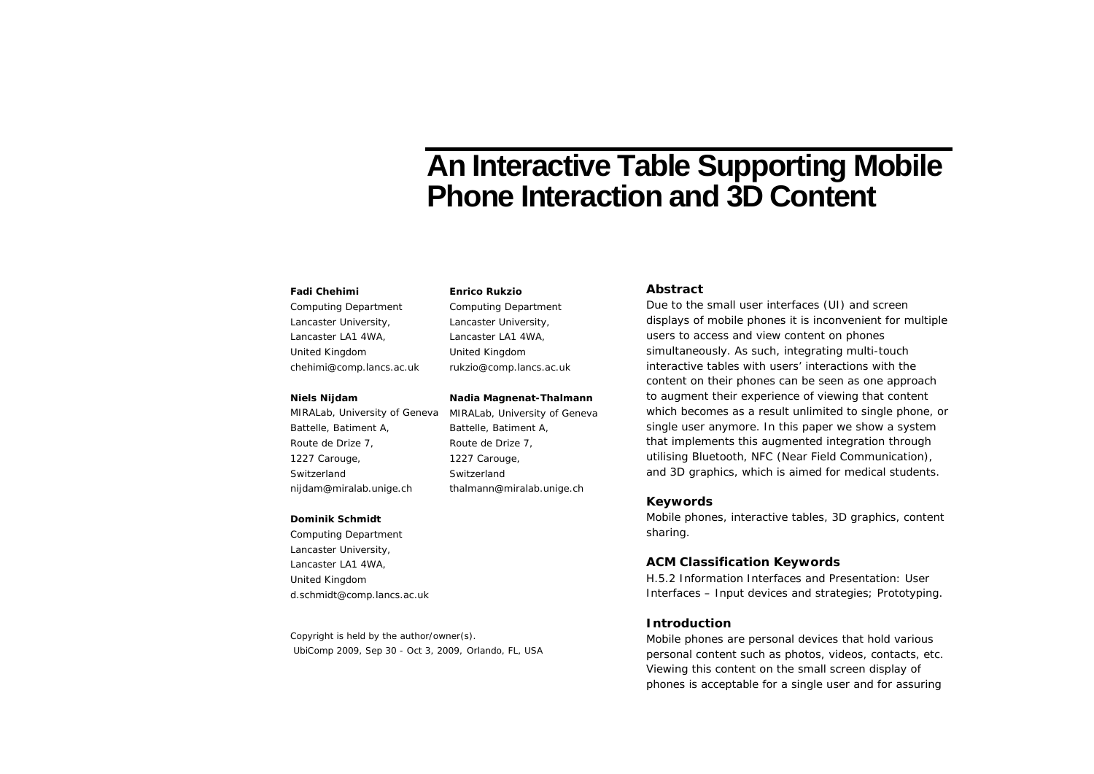# **An Interactive Table Supporting Mobile Phone Interaction and 3D Content**

#### **Fadi Chehimi**

Computing Department Lancaster University, Lancaster LA1 4WA, United Kingdom chehimi@comp.lancs.ac.uk

## **Niels Nijdam**

MIRALab, University of Geneva Battelle, Batiment A, Route de Drize 7, 1227 Carouge, Switzerland nijdam@miralab.unige.ch

#### **Dominik Schmidt**

Computing Department Lancaster University, Lancaster LA1 4WA, United Kingdom d.schmidt@comp.lancs.ac.uk

Copyright is held by the author/owner(s). UbiComp 2009, Sep 30 - Oct 3, 2009, Orlando, FL, USA

#### **Enrico Rukzio**

Computing Department Lancaster University, Lancaster LA1 4WA, United Kingdom rukzio@comp.lancs.ac.uk

# **Nadia Magnenat-Thalmann**

MIRALab, University of Geneva Battelle, Batiment A, Route de Drize 7, 1227 Carouge, Switzerland thalmann@miralab.unige.ch

## **Abstract**

Due to the small user interfaces (UI) and screen displays of mobile phones it is inconvenient for multiple users to access and view content on phones simultaneously. As such, integrating multi-touch interactive tables with users' interactions with the content on their phones can be seen as one approach to augment their experience of viewing that content which becomes as a result unlimited to single phone, or single user anymore. In this paper we show a system that implements this augmented integration through utilising Bluetooth, NFC (Near Field Communication), and 3D graphics, which is aimed for medical students.

## **Keywords**

Mobile phones, interactive tables, 3D graphics, content sharing.

## **ACM Classification Keywords**

H.5.2 Information Interfaces and Presentation: User Interfaces – *Input devices and strategies; Prototyping.*

## **Introduction**

Mobile phones are personal devices that hold various personal content such as photos, videos, contacts, etc. Viewing this content on the small screen display of phones is acceptable for a single user and for assuring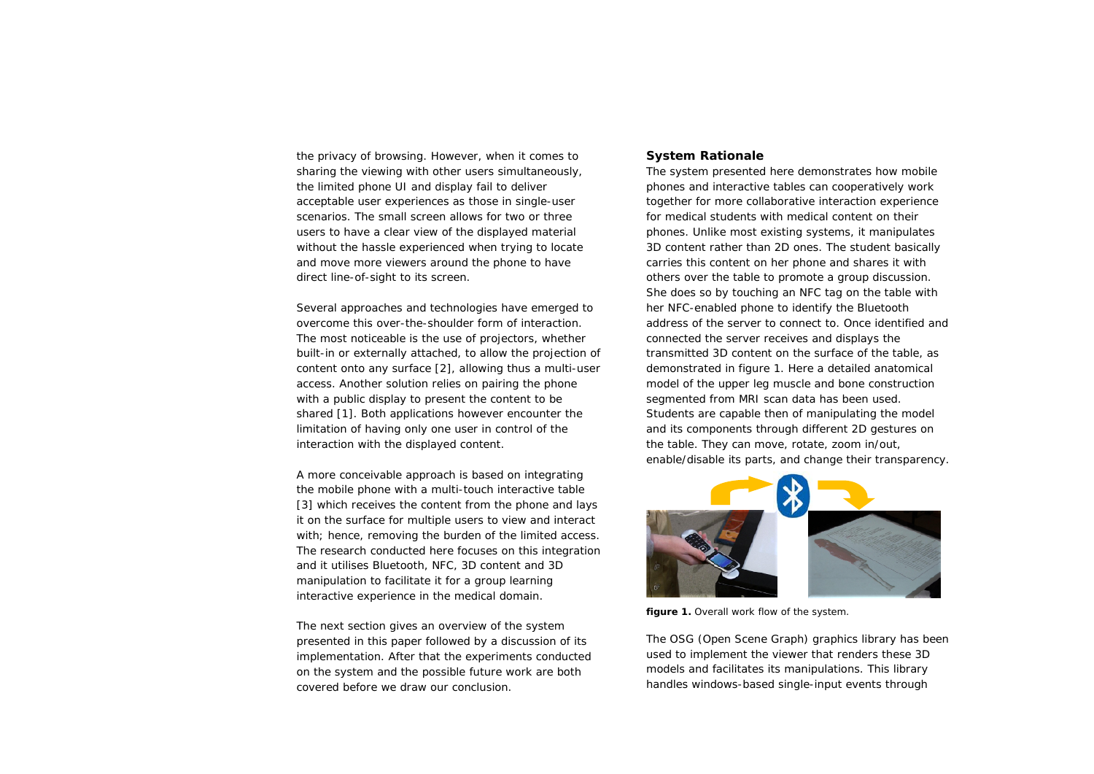the privacy of browsing. However, when it comes to sharing the viewing with other users simultaneously, the limited phone UI and display fail to deliver acceptable user experiences as those in single-user scenarios. The small screen allows for two or three users to have a clear view of the displayed material without the hassle experienced when trying to locate and move more viewers around the phone to have direct line-of-sight to its screen.

Several approaches and technologies have emerged to overcome this over-the-shoulder form of interaction. The most noticeable is the use of projectors, whether built-in or externally attached, to allow the projection of content onto any surface [2], allowing thus a multi-user access. Another solution relies on pairing the phone with a public display to present the content to be shared [1]. Both applications however encounter the limitation of having only one user in control of the interaction with the displayed content.

A more conceivable approach is based on integrating the mobile phone with a multi-touch interactive table [3] which receives the content from the phone and lays it on the surface for multiple users to view and interact with; hence, removing the burden of the limited access. The research conducted here focuses on this integration and it utilises Bluetooth, NFC, 3D content and 3D manipulation to facilitate it for a group learning interactive experience in the medical domain.

The next section gives an overview of the system presented in this paper followed by a discussion of its implementation. After that the experiments conducted on the system and the possible future work are both covered before we draw our conclusion.

# **System Rationale**

The system presented here demonstrates how mobile phones and interactive tables can cooperatively work together for more collaborative interaction experience for medical students with medical content on their phones. Unlike most existing systems, it manipulates 3D content rather than 2D ones. The student basically carries this content on her phone and shares it with others over the table to promote a group discussion. She does so by touching an NFC tag on the table with her NFC-enabled phone to identify the Bluetooth address of the server to connect to. Once identified and connected the server receives and displays the transmitted 3D content on the surface of the table, as demonstrated in figure 1. Here a detailed anatomical model of the upper leg muscle and bone construction segmented from MRI scan data has been used. Students are capable then of manipulating the model and its components through different 2D gestures on the table. They can move, rotate, zoom in/out, enable/disable its parts, and change their transparency.



**figure 1.** Overall work flow of the system.

The OSG (Open Scene Graph) graphics library has been used to implement the viewer that renders these 3D models and facilitates its manipulations. This library handles windows-based single-input events through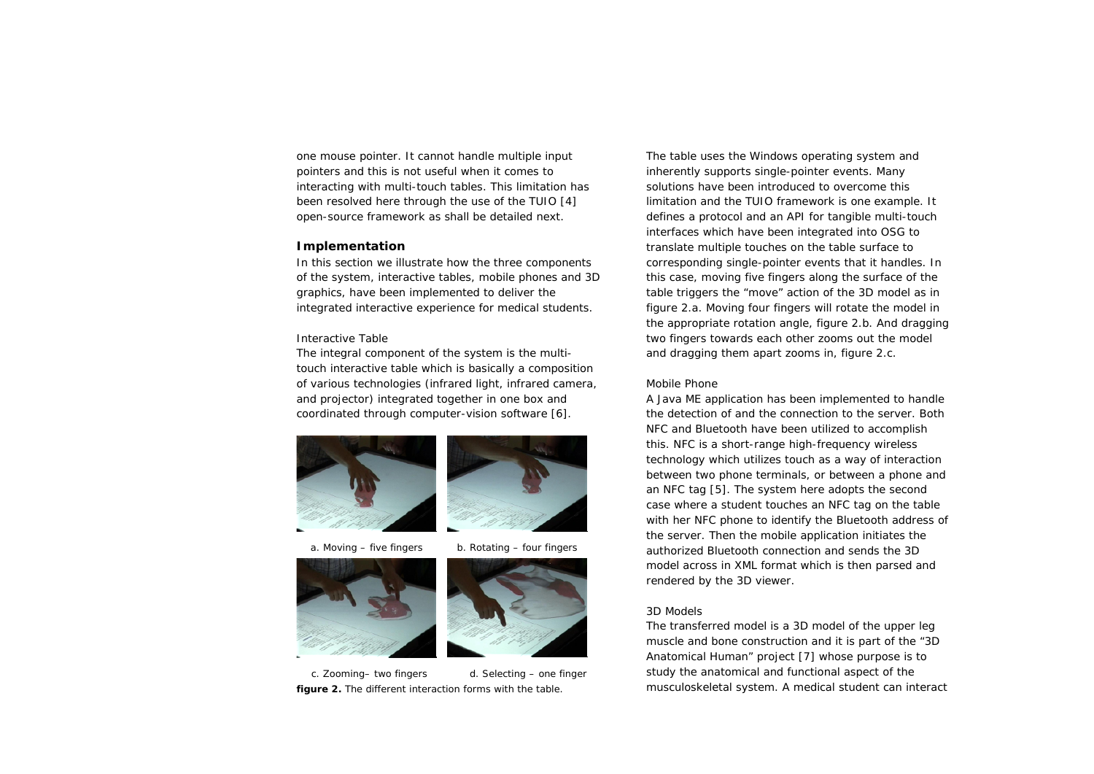one mouse pointer. It cannot handle multiple input pointers and this is not useful when it comes to interacting with multi-touch tables. This limitation has been resolved here through the use of the TUIO [4] open-source framework as shall be detailed next.

## **Implementation**

In this section we illustrate how the three components of the system, interactive tables, mobile phones and 3D graphics, have been implemented to deliver the integrated interactive experience for medical students.

## *Interactive Table*

The integral component of the system is the multitouch interactive table which is basically a composition of various technologies (infrared light, infrared camera, and projector) integrated together in one box and coordinated through computer-vision software [6].





a. Moving  $-$  five fingers b. Rotating  $-$  four fingers





**figure 2.** The different interaction forms with the table.

The table uses the Windows operating system and inherently supports single-pointer events. Many solutions have been introduced to overcome this limitation and the TUIO framework is one example. It defines a protocol and an API for tangible multi-touch interfaces which have been integrated into OSG to translate multiple touches on the table surface to corresponding single-pointer events that it handles. In this case, moving five fingers along the surface of the table triggers the "move" action of the 3D model as in figure 2.a. Moving four fingers will rotate the model in the appropriate rotation angle, figure 2.b. And dragging two fingers towards each other zooms out the model and dragging them apart zooms in, figure 2.c.

## *Mobile Phone*

A Java ME application has been implemented to handle the detection of and the connection to the server. Both NFC and Bluetooth have been utilized to accomplish this. NFC is a short-range high-frequency wireless technology which utilizes touch as a way of interaction between two phone terminals, or between a phone and an NFC tag [5]. The system here adopts the second case where a student touches an NFC tag on the table with her NFC phone to identify the Bluetooth address of the server. Then the mobile application initiates the authorized Bluetooth connection and sends the 3D model across in XML format which is then parsed and rendered by the 3D viewer.

## *3D Models*

The transferred model is a 3D model of the upper leg muscle and bone construction and it is part of the "3D Anatomical Human" project [7] whose purpose is to study the anatomical and functional aspect of the musculoskeletal system. A medical student can interact